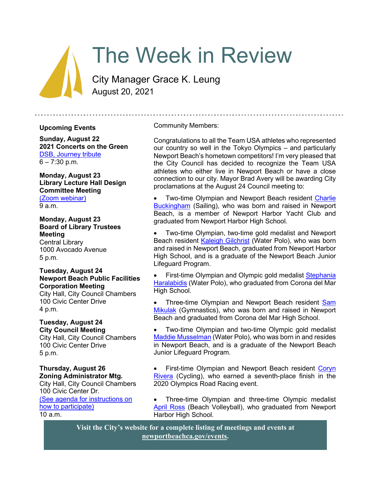

# The Week in Review

City Manager Grace K. Leung August 20, 2021

# **Upcoming Events**

**Sunday, August 22 2021 Concerts on the Green** [DSB, Journey tribute](https://www.newportbeachca.gov/Home/Components/Calendar/Event/67082/72)  $6 - 7:30$  p.m.

**Monday, August 23 Library Lecture Hall Design Committee Meeting** [\(Zoom webinar\)](https://www.newportbeachca.gov/Home/Components/Calendar/Event/65871/72) 9 a.m.

### **Monday, August 23 Board of Library Trustees Meeting** Central Library

1000 Avocado Avenue 5 p.m.

# **Tuesday, August 24 Newport Beach Public Facilities Corporation Meeting**

City Hall, City Council Chambers 100 Civic Center Drive 4 p.m.

#### **Tuesday, August 24 City Council Meeting**

City Hall, City Council Chambers 100 Civic Center Drive 5 p.m.

#### **Thursday, August 26 Zoning Administrator Mtg.**

City Hall, City Council Chambers 100 Civic Center Dr. [\(See agenda for instructions on](https://www.newportbeachca.gov/government/departments/community-development/planning-division/zoning-administrator)  [how to participate\)](https://www.newportbeachca.gov/government/departments/community-development/planning-division/zoning-administrator) 10 a.m.

Community Members:

Congratulations to all the Team USA athletes who represented our country so well in the Tokyo Olympics – and particularly Newport Beach's hometown competitors! I'm very pleased that the City Council has decided to recognize the Team USA athletes who either live in Newport Beach or have a close connection to our city. Mayor Brad Avery will be awarding City proclamations at the August 24 Council meeting to:

Two-time Olympian and Newport Beach resident Charlie [Buckingham](https://www.teamusa.org/us-sailing/athletes/Charlie-Buckingham) (Sailing), who was born and raised in Newport Beach, is a member of Newport Harbor Yacht Club and graduated from Newport Harbor High School.

• Two-time Olympian, two-time gold medalist and Newport Beach resident [Kaleigh Gilchrist](https://www.teamusa.org/usa-water-polo/athletes/Kaleigh-Gilchrist) (Water Polo), who was born and raised in Newport Beach, graduated from Newport Harbor High School, and is a graduate of the Newport Beach Junior Lifeguard Program.

First-time Olympian and Olympic gold medalist Stephania [Haralabidis](https://www.teamusa.org/usa-water-polo/athletes/Stephania-Haralabidis) (Water Polo), who graduated from Corona del Mar High School.

Three-time Olympian and Newport Beach resident Sam [Mikulak](https://www.teamusa.org/usa-gymnastics/athletes/Samuel-Mikulak) (Gymnastics), who was born and raised in Newport Beach and graduated from Corona del Mar High School.

• Two-time Olympian and two-time Olympic gold medalist [Maddie Musselman](https://www.teamusa.org/usa-water-polo/athletes/Maddie-Musselman) (Water Polo), who was born in and resides in Newport Beach, and is a graduate of the Newport Beach Junior Lifeguard Program.

First-time Olympian and Newport Beach resident Coryn [Rivera](https://www.teamusa.org/usa-cycling/athletes/Coryn-Rivera) (Cycling), who earned a seventh-place finish in the 2020 Olympics Road Racing event.

• Three-time Olympian and three-time Olympic medalist [April Ross](https://www.teamusa.org/usa-volleyball/athletes/April-Ross) (Beach Volleyball), who graduated from Newport Harbor High School.

**Visit the City's website for a complete listing of meetings and events at [newportbeachca.gov/events.](https://www.newportbeachca.gov/government/data-hub/city-calendar)**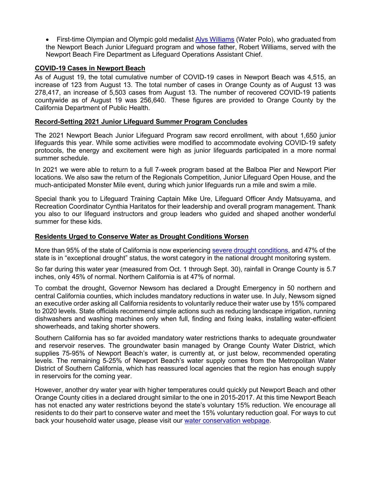• First-time Olympian and Olympic gold medalist [Alys Williams](https://www.teamusa.org/usa-water-polo/athletes/2/Alys-Williams) (Water Polo), who graduated from the Newport Beach Junior Lifeguard program and whose father, Robert Williams, served with the Newport Beach Fire Department as Lifeguard Operations Assistant Chief.

#### **COVID-19 Cases in Newport Beach**

As of August 19, the total cumulative number of COVID-19 cases in Newport Beach was 4,515, an increase of 123 from August 13. The total number of cases in Orange County as of August 13 was 278,417, an increase of 5,503 cases from August 13. The number of recovered COVID-19 patients countywide as of August 19 was 256,640. These figures are provided to Orange County by the California Department of Public Health.

#### **Record-Setting 2021 Junior Lifeguard Summer Program Concludes**

The 2021 Newport Beach Junior Lifeguard Program saw record enrollment, with about 1,650 junior lifeguards this year. While some activities were modified to accommodate evolving COVID-19 safety protocols, the energy and excitement were high as junior lifeguards participated in a more normal summer schedule.

In 2021 we were able to return to a full 7-week program based at the Balboa Pier and Newport Pier locations. We also saw the return of the Regionals Competition, Junior Lifeguard Open House, and the much-anticipated Monster Mile event, during which junior lifeguards run a mile and swim a mile.

Special thank you to Lifeguard Training Captain Mike Ure, Lifeguard Officer Andy Matsuyama, and Recreation Coordinator Cynthia Haritatos for their leadership and overall program management. Thank you also to our lifeguard instructors and group leaders who guided and shaped another wonderful summer for these kids.

#### **Residents Urged to Conserve Water as Drought Conditions Worsen**

More than 95% of the state of California is now experiencing [severe drought conditions,](https://www.drought.gov/states/california) and 47% of the state is in "exceptional drought" status, the worst category in the national drought monitoring system.

So far during this water year (measured from Oct. 1 through Sept. 30), rainfall in Orange County is 5.7 inches, only 45% of normal. Northern California is at 47% of normal.

To combat the drought, Governor Newsom has declared a Drought Emergency in 50 northern and central California counties, which includes mandatory reductions in water use. In July, Newsom signed an executive order asking all California residents to voluntarily reduce their water use by 15% compared to 2020 levels. State officials recommend simple actions such as reducing landscape irrigation, running dishwashers and washing machines only when full, finding and fixing leaks, installing water-efficient showerheads, and taking shorter showers.

Southern California has so far avoided mandatory water restrictions thanks to adequate groundwater and reservoir reserves. The groundwater basin managed by Orange County Water District, which supplies 75-95% of Newport Beach's water, is currently at, or just below, recommended operating levels. The remaining 5-25% of Newport Beach's water supply comes from the Metropolitan Water District of Southern California, which has reassured local agencies that the region has enough supply in reservoirs for the coming year.

However, another dry water year with higher temperatures could quickly put Newport Beach and other Orange County cities in a declared drought similar to the one in 2015-2017. At this time Newport Beach has not enacted any water restrictions beyond the state's voluntary 15% reduction. We encourage all residents to do their part to conserve water and meet the 15% voluntary reduction goal. For ways to cut back your household water usage, please visit our [water conservation webpage.](https://newportbeachca.gov/government/departments/public-works/water-quality-and-conservation/water-conservation)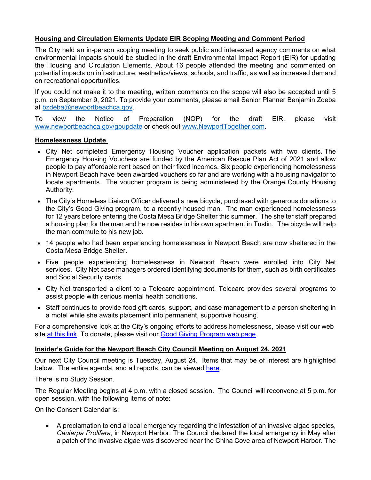# **Housing and Circulation Elements Update EIR Scoping Meeting and Comment Period**

The City held an in-person scoping meeting to seek public and interested agency comments on what environmental impacts should be studied in the draft Environmental Impact Report (EIR) for updating the Housing and Circulation Elements. About 16 people attended the meeting and commented on potential impacts on infrastructure, aesthetics/views, schools, and traffic, as well as increased demand on recreational opportunities.

If you could not make it to the meeting, written comments on the scope will also be accepted until 5 p.m. on September 9, 2021. To provide your comments, please email Senior Planner Benjamin Zdeba at [bzdeba@newportbeachca.gov.](mailto:bzdeba@newportbeachca.gov)

To view the Notice of Preparation (NOP) for the draft EIR, please visit [www.newportbeachca.gov/gpupdate](http://www.newportbeachca.gov/gpupdate) or check out [www.NewportTogether.com.](http://www.newporttogether.com/)

#### **Homelessness Update**

- City Net completed Emergency Housing Voucher application packets with two clients. The Emergency Housing Vouchers are funded by the American Rescue Plan Act of 2021 and allow people to pay affordable rent based on their fixed incomes. Six people experiencing homelessness in Newport Beach have been awarded vouchers so far and are working with a housing navigator to locate apartments. The voucher program is being administered by the Orange County Housing Authority.
- The City's Homeless Liaison Officer delivered a new bicycle, purchased with generous donations to the City's Good Giving program, to a recently housed man. The man experienced homelessness for 12 years before entering the Costa Mesa Bridge Shelter this summer. The shelter staff prepared a housing plan for the man and he now resides in his own apartment in Tustin. The bicycle will help the man commute to his new job.
- 14 people who had been experiencing homelessness in Newport Beach are now sheltered in the Costa Mesa Bridge Shelter.
- Five people experiencing homelessness in Newport Beach were enrolled into City Net services. City Net case managers ordered identifying documents for them, such as birth certificates and Social Security cards.
- City Net transported a client to a Telecare appointment. Telecare provides several programs to assist people with serious mental health conditions.
- Staff continues to provide food gift cards, support, and case management to a person sheltering in a motel while she awaits placement into permanent, supportive housing.

For a comprehensive look at the City's ongoing efforts to address homelessness, please visit our web site [at this link.](https://www.newportbeachca.gov/trending/community-issues/homelessness) To donate, please visit our [Good Giving Program web page.](https://newportbeachca.gov/trending/community-issues/homelessness/how-you-can-help)

### **Insider's Guide for the Newport Beach City Council Meeting on August 24, 2021**

Our next City Council meeting is Tuesday, August 24. Items that may be of interest are highlighted below. The entire agenda, and all reports, can be viewed [here.](https://www.newportbeachca.gov/Home/Components/Calendar/Event/64220/72)

There is no Study Session.

The Regular Meeting begins at 4 p.m. with a closed session. The Council will reconvene at 5 p.m. for open session, with the following items of note:

On the Consent Calendar is:

• A proclamation to end a local emergency regarding the infestation of an invasive algae species, *Caulerpa Prolifera,* in Newport Harbor. The Council declared the local emergency in May after a patch of the invasive algae was discovered near the China Cove area of Newport Harbor. The